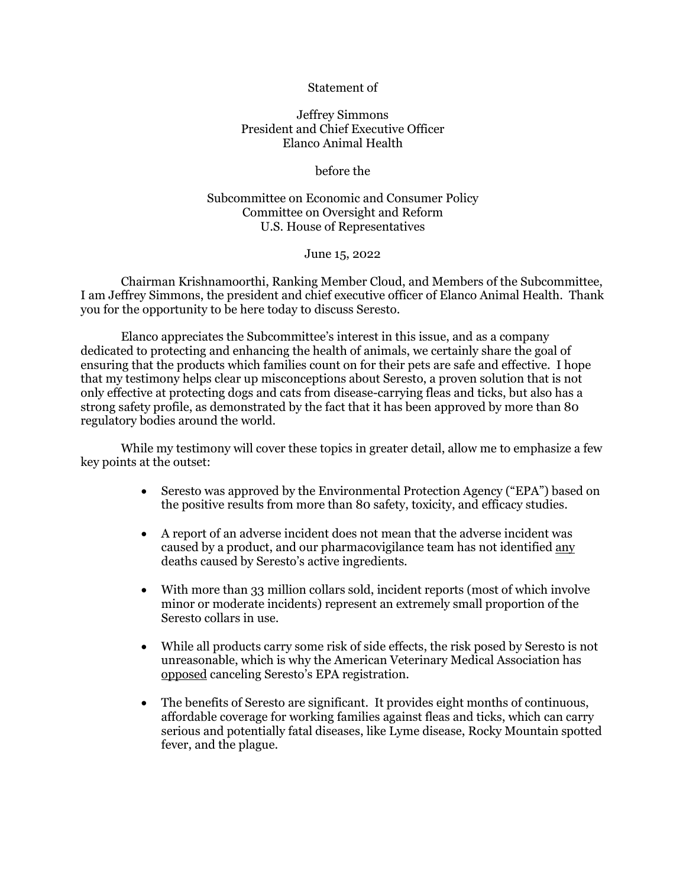### Statement of

## Jeffrey Simmons President and Chief Executive Officer Elanco Animal Health

before the

Subcommittee on Economic and Consumer Policy Committee on Oversight and Reform U.S. House of Representatives

June 15, 2022

Chairman Krishnamoorthi, Ranking Member Cloud, and Members of the Subcommittee, I am Jeffrey Simmons, the president and chief executive officer of Elanco Animal Health. Thank you for the opportunity to be here today to discuss Seresto.

Elanco appreciates the Subcommittee's interest in this issue, and as a company dedicated to protecting and enhancing the health of animals, we certainly share the goal of ensuring that the products which families count on for their pets are safe and effective. I hope that my testimony helps clear up misconceptions about Seresto, a proven solution that is not only effective at protecting dogs and cats from disease-carrying fleas and ticks, but also has a strong safety profile, as demonstrated by the fact that it has been approved by more than 80 regulatory bodies around the world.

While my testimony will cover these topics in greater detail, allow me to emphasize a few key points at the outset:

- Seresto was approved by the Environmental Protection Agency ("EPA") based on the positive results from more than 80 safety, toxicity, and efficacy studies.
- A report of an adverse incident does not mean that the adverse incident was caused by a product, and our pharmacovigilance team has not identified any deaths caused by Seresto's active ingredients.
- With more than 33 million collars sold, incident reports (most of which involve minor or moderate incidents) represent an extremely small proportion of the Seresto collars in use.
- While all products carry some risk of side effects, the risk posed by Seresto is not unreasonable, which is why the American Veterinary Medical Association has opposed canceling Seresto's EPA registration.
- The benefits of Seresto are significant. It provides eight months of continuous, affordable coverage for working families against fleas and ticks, which can carry serious and potentially fatal diseases, like Lyme disease, Rocky Mountain spotted fever, and the plague.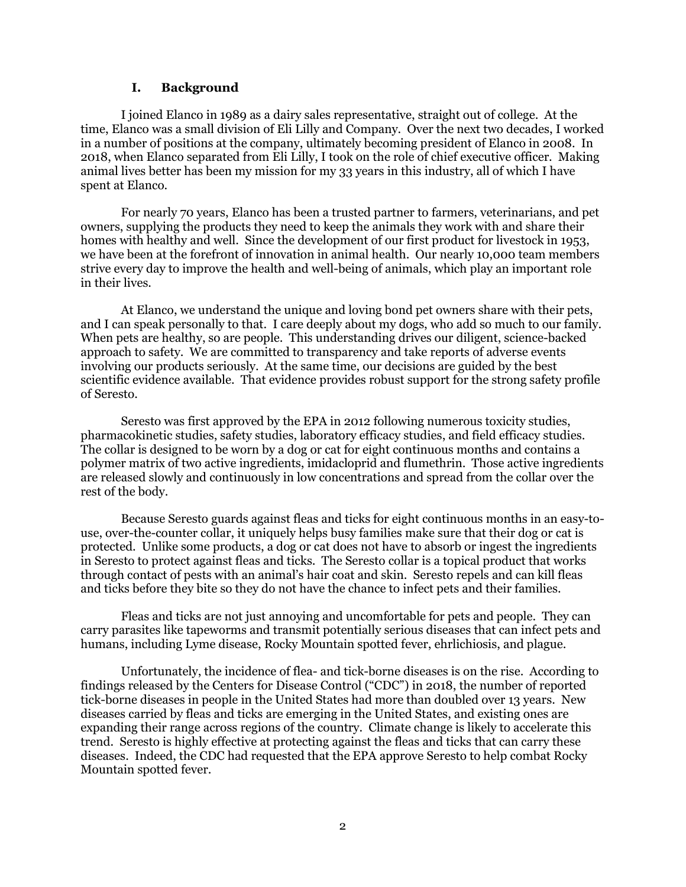#### **I. Background**

I joined Elanco in 1989 as a dairy sales representative, straight out of college. At the time, Elanco was a small division of Eli Lilly and Company. Over the next two decades, I worked in a number of positions at the company, ultimately becoming president of Elanco in 2008. In 2018, when Elanco separated from Eli Lilly, I took on the role of chief executive officer. Making animal lives better has been my mission for my 33 years in this industry, all of which I have spent at Elanco.

For nearly 70 years, Elanco has been a trusted partner to farmers, veterinarians, and pet owners, supplying the products they need to keep the animals they work with and share their homes with healthy and well. Since the development of our first product for livestock in 1953, we have been at the forefront of innovation in animal health. Our nearly 10,000 team members strive every day to improve the health and well-being of animals, which play an important role in their lives.

At Elanco, we understand the unique and loving bond pet owners share with their pets, and I can speak personally to that. I care deeply about my dogs, who add so much to our family. When pets are healthy, so are people. This understanding drives our diligent, science-backed approach to safety. We are committed to transparency and take reports of adverse events involving our products seriously. At the same time, our decisions are guided by the best scientific evidence available. That evidence provides robust support for the strong safety profile of Seresto.

Seresto was first approved by the EPA in 2012 following numerous toxicity studies, pharmacokinetic studies, safety studies, laboratory efficacy studies, and field efficacy studies. The collar is designed to be worn by a dog or cat for eight continuous months and contains a polymer matrix of two active ingredients, imidacloprid and flumethrin. Those active ingredients are released slowly and continuously in low concentrations and spread from the collar over the rest of the body.

Because Seresto guards against fleas and ticks for eight continuous months in an easy-touse, over-the-counter collar, it uniquely helps busy families make sure that their dog or cat is protected. Unlike some products, a dog or cat does not have to absorb or ingest the ingredients in Seresto to protect against fleas and ticks. The Seresto collar is a topical product that works through contact of pests with an animal's hair coat and skin. Seresto repels and can kill fleas and ticks before they bite so they do not have the chance to infect pets and their families.

Fleas and ticks are not just annoying and uncomfortable for pets and people. They can carry parasites like tapeworms and transmit potentially serious diseases that can infect pets and humans, including Lyme disease, Rocky Mountain spotted fever, ehrlichiosis, and plague.

Unfortunately, the incidence of flea- and tick-borne diseases is on the rise. According to findings released by the Centers for Disease Control ("CDC") in 2018, the number of reported tick-borne diseases in people in the United States had more than doubled over 13 years. New diseases carried by fleas and ticks are emerging in the United States, and existing ones are expanding their range across regions of the country. Climate change is likely to accelerate this trend. Seresto is highly effective at protecting against the fleas and ticks that can carry these diseases. Indeed, the CDC had requested that the EPA approve Seresto to help combat Rocky Mountain spotted fever.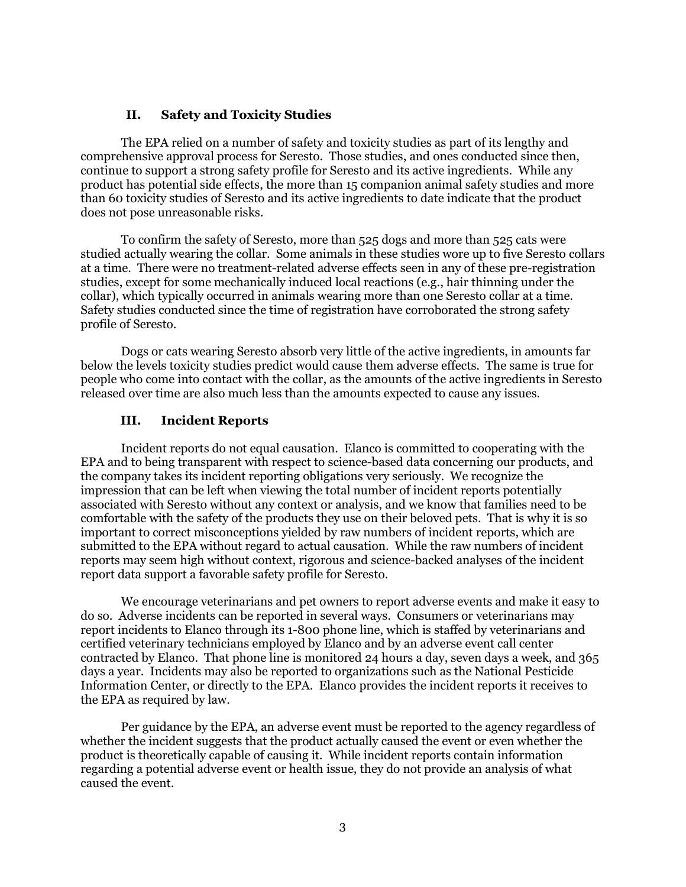## **II. Safety and Toxicity Studies**

The EPA relied on a number of safety and toxicity studies as part of its lengthy and comprehensive approval process for Seresto. Those studies, and ones conducted since then, continue to support a strong safety profile for Seresto and its active ingredients. While any product has potential side effects, the more than 15 companion animal safety studies and more than 60 toxicity studies of Seresto and its active ingredients to date indicate that the product does not pose unreasonable risks.

To confirm the safety of Seresto, more than 525 dogs and more than 525 cats were studied actually wearing the collar. Some animals in these studies wore up to five Seresto collars at a time. There were no treatment-related adverse effects seen in any of these pre-registration studies, except for some mechanically induced local reactions (e.g., hair thinning under the collar), which typically occurred in animals wearing more than one Seresto collar at a time. Safety studies conducted since the time of registration have corroborated the strong safety profile of Seresto.

Dogs or cats wearing Seresto absorb very little of the active ingredients, in amounts far below the levels toxicity studies predict would cause them adverse effects. The same is true for people who come into contact with the collar, as the amounts of the active ingredients in Seresto released over time are also much less than the amounts expected to cause any issues.

# **III. Incident Reports**

Incident reports do not equal causation. Elanco is committed to cooperating with the EPA and to being transparent with respect to science-based data concerning our products, and the company takes its incident reporting obligations very seriously. We recognize the impression that can be left when viewing the total number of incident reports potentially associated with Seresto without any context or analysis, and we know that families need to be comfortable with the safety of the products they use on their beloved pets. That is why it is so important to correct misconceptions yielded by raw numbers of incident reports, which are submitted to the EPA without regard to actual causation. While the raw numbers of incident reports may seem high without context, rigorous and science-backed analyses of the incident report data support a favorable safety profile for Seresto.

We encourage veterinarians and pet owners to report adverse events and make it easy to do so. Adverse incidents can be reported in several ways. Consumers or veterinarians may report incidents to Elanco through its 1-800 phone line, which is staffed by veterinarians and certified veterinary technicians employed by Elanco and by an adverse event call center contracted by Elanco. That phone line is monitored 24 hours a day, seven days a week, and 365 days a year. Incidents may also be reported to organizations such as the National Pesticide Information Center, or directly to the EPA. Elanco provides the incident reports it receives to the EPA as required by law.

Per guidance by the EPA, an adverse event must be reported to the agency regardless of whether the incident suggests that the product actually caused the event or even whether the product is theoretically capable of causing it. While incident reports contain information regarding a potential adverse event or health issue, they do not provide an analysis of what caused the event.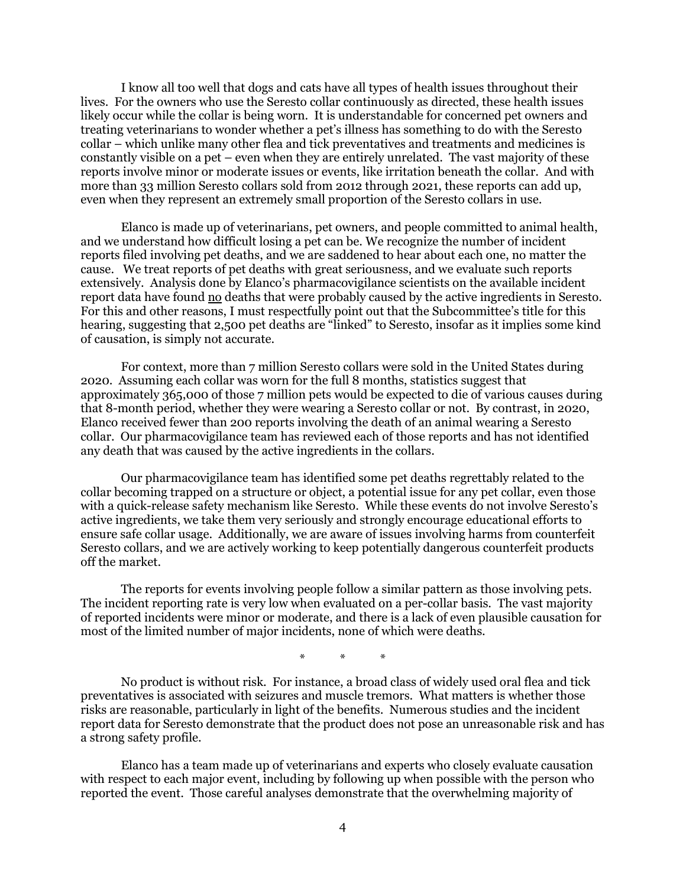I know all too well that dogs and cats have all types of health issues throughout their lives. For the owners who use the Seresto collar continuously as directed, these health issues likely occur while the collar is being worn. It is understandable for concerned pet owners and treating veterinarians to wonder whether a pet's illness has something to do with the Seresto collar – which unlike many other flea and tick preventatives and treatments and medicines is constantly visible on a pet – even when they are entirely unrelated. The vast majority of these reports involve minor or moderate issues or events, like irritation beneath the collar. And with more than 33 million Seresto collars sold from 2012 through 2021, these reports can add up, even when they represent an extremely small proportion of the Seresto collars in use.

Elanco is made up of veterinarians, pet owners, and people committed to animal health, and we understand how difficult losing a pet can be. We recognize the number of incident reports filed involving pet deaths, and we are saddened to hear about each one, no matter the cause. We treat reports of pet deaths with great seriousness, and we evaluate such reports extensively. Analysis done by Elanco's pharmacovigilance scientists on the available incident report data have found no deaths that were probably caused by the active ingredients in Seresto. For this and other reasons, I must respectfully point out that the Subcommittee's title for this hearing, suggesting that 2,500 pet deaths are "linked" to Seresto, insofar as it implies some kind of causation, is simply not accurate.

For context, more than 7 million Seresto collars were sold in the United States during 2020. Assuming each collar was worn for the full 8 months, statistics suggest that approximately 365,000 of those 7 million pets would be expected to die of various causes during that 8-month period, whether they were wearing a Seresto collar or not. By contrast, in 2020, Elanco received fewer than 200 reports involving the death of an animal wearing a Seresto collar. Our pharmacovigilance team has reviewed each of those reports and has not identified any death that was caused by the active ingredients in the collars.

Our pharmacovigilance team has identified some pet deaths regrettably related to the collar becoming trapped on a structure or object, a potential issue for any pet collar, even those with a quick-release safety mechanism like Seresto. While these events do not involve Seresto's active ingredients, we take them very seriously and strongly encourage educational efforts to ensure safe collar usage. Additionally, we are aware of issues involving harms from counterfeit Seresto collars, and we are actively working to keep potentially dangerous counterfeit products off the market.

The reports for events involving people follow a similar pattern as those involving pets. The incident reporting rate is very low when evaluated on a per-collar basis. The vast majority of reported incidents were minor or moderate, and there is a lack of even plausible causation for most of the limited number of major incidents, none of which were deaths.

\* \* \*

No product is without risk. For instance, a broad class of widely used oral flea and tick preventatives is associated with seizures and muscle tremors. What matters is whether those risks are reasonable, particularly in light of the benefits. Numerous studies and the incident report data for Seresto demonstrate that the product does not pose an unreasonable risk and has a strong safety profile.

Elanco has a team made up of veterinarians and experts who closely evaluate causation with respect to each major event, including by following up when possible with the person who reported the event. Those careful analyses demonstrate that the overwhelming majority of